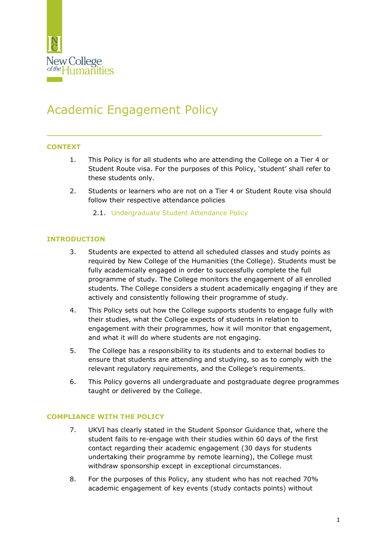

# Academic Engagement Policy

## **CONTEXT**

1. This Policy is for all students who are attending the College on a Tier 4 or Student Route visa. For the purposes of this Policy, 'student' shall refer to these students only.

\_\_\_\_\_\_\_\_\_\_\_\_\_\_\_\_\_\_\_\_\_\_\_\_\_\_\_\_\_\_\_\_\_\_\_\_\_

- 2. Students or learners who are not on a Tier 4 or Student Route visa should follow their respective attendance policies
	- 2.1. [Undergraduate Student Attendance Policy](https://www.nchlondon.ac.uk/about-us/academic-handbook/nch-policies-and-procedures/academic-policies/)

## **INTRODUCTION**

- 3. Students are expected to attend all scheduled classes and study points as required by New College of the Humanities (the College). Students must be fully academically engaged in order to successfully complete the full programme of study. The College monitors the engagement of all enrolled students. The College considers a student academically engaging if they are actively and consistently following their programme of study.
- 4. This Policy sets out how the College supports students to engage fully with their studies, what the College expects of students in relation to engagement with their programmes, how it will monitor that engagement, and what it will do where students are not engaging.
- 5. The College has a responsibility to its students and to external bodies to ensure that students are attending and studying, so as to comply with the relevant regulatory requirements, and the College's requirements.
- 6. This Policy governs all undergraduate and postgraduate degree programmes taught or delivered by the College.

## **COMPLIANCE WITH THE POLICY**

- 7. UKVI has clearly stated in the Student Sponsor Guidance that, where the student fails to re-engage with their studies within 60 days of the first contact regarding their academic engagement (30 days for students undertaking their programme by remote learning), the College must withdraw sponsorship except in exceptional circumstances.
- 8. For the purposes of this Policy, any student who has not reached 70% academic engagement of key events (study contacts points) without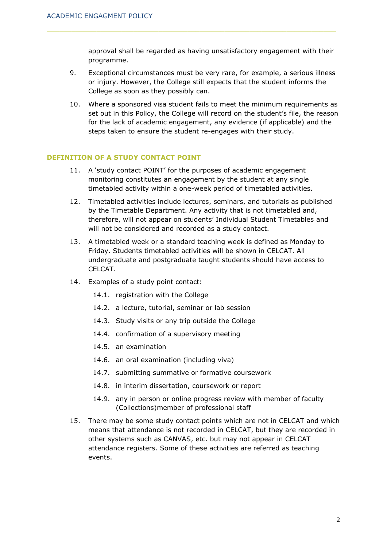approval shall be regarded as having unsatisfactory engagement with their programme.

- 9. Exceptional circumstances must be very rare, for example, a serious illness or injury. However, the College still expects that the student informs the College as soon as they possibly can.
- 10. Where a sponsored visa student fails to meet the minimum requirements as set out in this Policy, the College will record on the student's file, the reason for the lack of academic engagement, any evidence (if applicable) and the steps taken to ensure the student re-engages with their study.

#### **DEFINITION OF A STUDY CONTACT POINT**

- 11. A 'study contact POINT' for the purposes of academic engagement monitoring constitutes an engagement by the student at any single timetabled activity within a one-week period of timetabled activities.
- 12. Timetabled activities include lectures, seminars, and tutorials as published by the Timetable Department. Any activity that is not timetabled and, therefore, will not appear on students' Individual Student Timetables and will not be considered and recorded as a study contact.
- 13. A timetabled week or a standard teaching week is defined as Monday to Friday. Students timetabled activities will be shown in CELCAT. All undergraduate and postgraduate taught students should have access to CELCAT.
- 14. Examples of a study point contact:
	- 14.1. registration with the College
	- 14.2. a lecture, tutorial, seminar or lab session
	- 14.3. Study visits or any trip outside the College
	- 14.4. confirmation of a supervisory meeting
	- 14.5. an examination
	- 14.6. an oral examination (including viva)
	- 14.7. submitting summative or formative coursework
	- 14.8. in interim dissertation, coursework or report
	- 14.9. any in person or online progress review with member of faculty (Collections)member of professional staff
- 15. There may be some study contact points which are not in CELCAT and which means that attendance is not recorded in CELCAT, but they are recorded in other systems such as CANVAS, etc. but may not appear in CELCAT attendance registers. Some of these activities are referred as teaching events.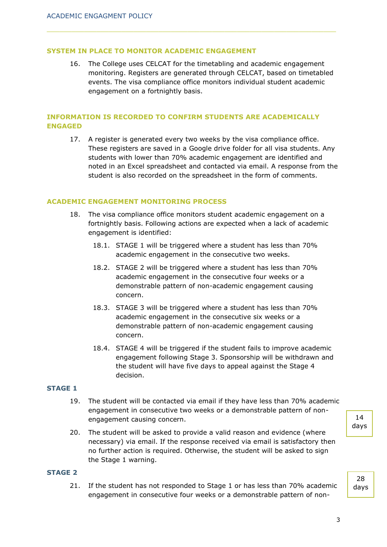#### **SYSTEM IN PLACE TO MONITOR ACADEMIC ENGAGEMENT**

16. The College uses CELCAT for the timetabling and academic engagement monitoring. Registers are generated through CELCAT, based on timetabled events. The visa compliance office monitors individual student academic engagement on a fortnightly basis.

## **INFORMATION IS RECORDED TO CONFIRM STUDENTS ARE ACADEMICALLY ENGAGED**

17. A register is generated every two weeks by the visa compliance office. These registers are saved in a Google drive folder for all visa students. Any students with lower than 70% academic engagement are identified and noted in an Excel spreadsheet and contacted via email. A response from the student is also recorded on the spreadsheet in the form of comments.

#### **ACADEMIC ENGAGEMENT MONITORING PROCESS**

- 18. The visa compliance office monitors student academic engagement on a fortnightly basis. Following actions are expected when a lack of academic engagement is identified:
	- 18.1. STAGE 1 will be triggered where a student has less than 70% academic engagement in the consecutive two weeks.
	- 18.2. STAGE 2 will be triggered where a student has less than 70% academic engagement in the consecutive four weeks or a demonstrable pattern of non-academic engagement causing concern.
	- 18.3. STAGE 3 will be triggered where a student has less than 70% academic engagement in the consecutive six weeks or a demonstrable pattern of non-academic engagement causing concern.
	- 18.4. STAGE 4 will be triggered if the student fails to improve academic engagement following Stage 3. Sponsorship will be withdrawn and the student will have five days to appeal against the Stage 4 decision.

## **STAGE 1**

- 19. The student will be contacted via email if they have less than 70% academic engagement in consecutive two weeks or a demonstrable pattern of nonengagement causing concern.
- 20. The student will be asked to provide a valid reason and evidence (where necessary) via email. If the response received via email is satisfactory then no further action is required. Otherwise, the student will be asked to sign the Stage 1 warning.

#### **STAGE 2**

21. If the student has not responded to Stage 1 or has less than 70% academic engagement in consecutive four weeks or a demonstrable pattern of non-

14 days

28 days

3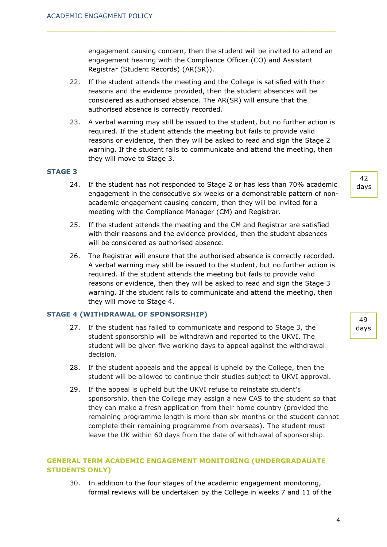engagement causing concern, then the student will be invited to attend an engagement hearing with the Compliance Officer (CO) and Assistant Registrar (Student Records) (AR(SR)).

- 22. If the student attends the meeting and the College is satisfied with their reasons and the evidence provided, then the student absences will be considered as authorised absence. The AR(SR) will ensure that the authorised absence is correctly recorded.
- 23. A verbal warning may still be issued to the student, but no further action is required. If the student attends the meeting but fails to provide valid reasons or evidence, then they will be asked to read and sign the Stage 2 warning. If the student fails to communicate and attend the meeting, then they will move to Stage 3.

## **STAGE 3**

- 24. If the student has not responded to Stage 2 or has less than 70% academic engagement in the consecutive six weeks or a demonstrable pattern of nonacademic engagement causing concern, then they will be invited for a meeting with the Compliance Manager (CM) and Registrar.
- 25. If the student attends the meeting and the CM and Registrar are satisfied with their reasons and the evidence provided, then the student absences will be considered as authorised absence.
- 26. The Registrar will ensure that the authorised absence is correctly recorded. A verbal warning may still be issued to the student, but no further action is required. If the student attends the meeting but fails to provide valid reasons or evidence, then they will be asked to read and sign the Stage 3 warning. If the student fails to communicate and attend the meeting, then they will move to Stage 4.

#### **STAGE 4 (WITHDRAWAL OF SPONSORSHIP)**

- 27. If the student has failed to communicate and respond to Stage 3, the student sponsorship will be withdrawn and reported to the UKVI. The student will be given five working days to appeal against the withdrawal decision.
- 28. If the student appeals and the appeal is upheld by the College, then the student will be allowed to continue their studies subject to UKVI approval.
- 29. If the appeal is upheld but the UKVI refuse to reinstate student's sponsorship, then the College may assign a new CAS to the student so that they can make a fresh application from their home country (provided the remaining programme length is more than six months or the student cannot complete their remaining programme from overseas). The student must leave the UK within 60 days from the date of withdrawal of sponsorship.

# **GENERAL TERM ACADEMIC ENGAGEMENT MONITORING (UNDERGRADAUATE STUDENTS ONLY)**

30. In addition to the four stages of the academic engagement monitoring, formal reviews will be undertaken by the College in weeks 7 and 11 of the

42 days

49 days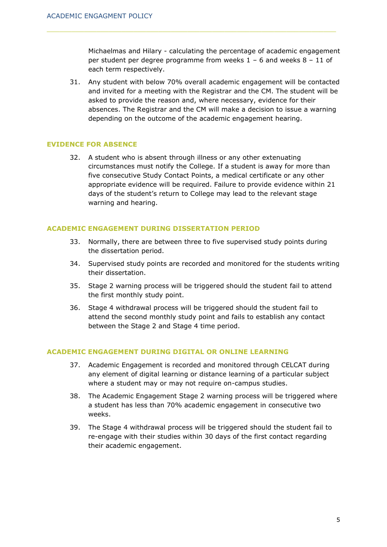Michaelmas and Hilary - calculating the percentage of academic engagement per student per degree programme from weeks 1 – 6 and weeks 8 – 11 of each term respectively.

31. Any student with below 70% overall academic engagement will be contacted and invited for a meeting with the Registrar and the CM. The student will be asked to provide the reason and, where necessary, evidence for their absences. The Registrar and the CM will make a decision to issue a warning depending on the outcome of the academic engagement hearing.

## **EVIDENCE FOR ABSENCE**

32. A student who is absent through illness or any other extenuating circumstances must notify the College. If a student is away for more than five consecutive Study Contact Points, a medical certificate or any other appropriate evidence will be required. Failure to provide evidence within 21 days of the student's return to College may lead to the relevant stage warning and hearing.

## **ACADEMIC ENGAGEMENT DURING DISSERTATION PERIOD**

- 33. Normally, there are between three to five supervised study points during the dissertation period.
- 34. Supervised study points are recorded and monitored for the students writing their dissertation.
- 35. Stage 2 warning process will be triggered should the student fail to attend the first monthly study point.
- 36. Stage 4 withdrawal process will be triggered should the student fail to attend the second monthly study point and fails to establish any contact between the Stage 2 and Stage 4 time period.

#### **ACADEMIC ENGAGEMENT DURING DIGITAL OR ONLINE LEARNING**

- 37. Academic Engagement is recorded and monitored through CELCAT during any element of digital learning or distance learning of a particular subject where a student may or may not require on-campus studies.
- 38. The Academic Engagement Stage 2 warning process will be triggered where a student has less than 70% academic engagement in consecutive two weeks.
- 39. The Stage 4 withdrawal process will be triggered should the student fail to re-engage with their studies within 30 days of the first contact regarding their academic engagement.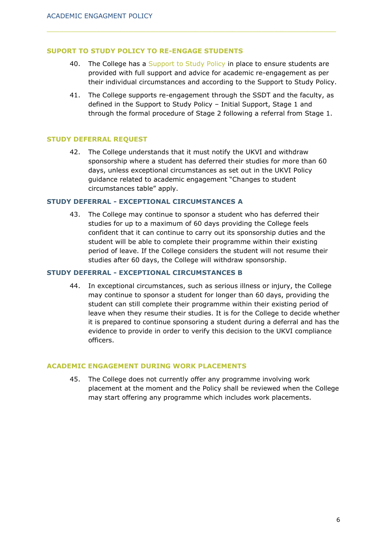# **SUPORT TO STUDY POLICY TO RE-ENGAGE STUDENTS**

- 40. The College has a [Support to Study Policy](https://www.nchlondon.ac.uk/about-us/academic-handbook/nch-policies-and-procedures/nch-general/) in place to ensure students are provided with full support and advice for academic re-engagement as per their individual circumstances and according to the Support to Study Policy.
- 41. The College supports re-engagement through the SSDT and the faculty, as defined in the Support to Study Policy – Initial Support, Stage 1 and through the formal procedure of Stage 2 following a referral from Stage 1.

## **STUDY DEFERRAL REQUEST**

42. The College understands that it must notify the UKVI and withdraw sponsorship where a student has deferred their studies for more than 60 days, unless exceptional circumstances as set out in the UKVI Policy guidance related to academic engagement "Changes to student circumstances table" apply.

#### **STUDY DEFERRAL - EXCEPTIONAL CIRCUMSTANCES A**

43. The College may continue to sponsor a student who has deferred their studies for up to a maximum of 60 days providing the College feels confident that it can continue to carry out its sponsorship duties and the student will be able to complete their programme within their existing period of leave. If the College considers the student will not resume their studies after 60 days, the College will withdraw sponsorship.

#### **STUDY DEFERRAL - EXCEPTIONAL CIRCUMSTANCES B**

44. In exceptional circumstances, such as serious illness or injury, the College may continue to sponsor a student for longer than 60 days, providing the student can still complete their programme within their existing period of leave when they resume their studies. It is for the College to decide whether it is prepared to continue sponsoring a student during a deferral and has the evidence to provide in order to verify this decision to the UKVI compliance officers.

#### **ACADEMIC ENGAGEMENT DURING WORK PLACEMENTS**

45. The College does not currently offer any programme involving work placement at the moment and the Policy shall be reviewed when the College may start offering any programme which includes work placements.